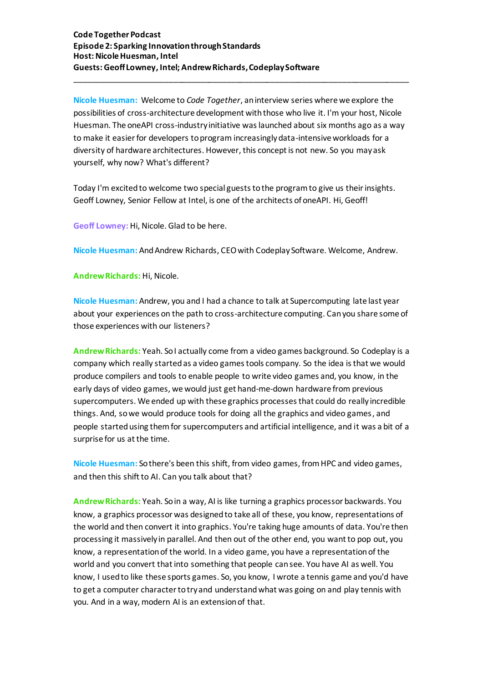**Nicole Huesman:** Welcome to *Code Together*, an interview series where we explore the possibilities of cross-architecture development with those who live it. I'm your host, Nicole Huesman. The oneAPI cross-industry initiative was launched about six months ago as a way to make it easier for developers to program increasingly data-intensive workloads for a diversity of hardware architectures. However, this concept is not new. So you may ask yourself, why now? What's different?

\_\_\_\_\_\_\_\_\_\_\_\_\_\_\_\_\_\_\_\_\_\_\_\_\_\_\_\_\_\_\_\_\_\_\_\_\_\_\_\_\_\_\_\_\_\_\_\_\_\_\_\_\_\_\_\_\_\_\_\_\_\_\_\_\_\_\_\_\_\_\_\_\_\_\_

Today I'm excited to welcome two special guests to the program to give us their insights. Geoff Lowney, Senior Fellow at Intel, is one of the architects of oneAPI. Hi, Geoff!

**Geoff Lowney:** Hi, Nicole. Glad to be here.

**Nicole Huesman:** And Andrew Richards, CEO with Codeplay Software. Welcome, Andrew.

**Andrew Richards:** Hi, Nicole.

**Nicole Huesman:** Andrew, you and I had a chance to talk at Supercomputing late last year about your experiences on the path to cross-architecture computing. Can you share some of those experiences with our listeners?

**Andrew Richards:** Yeah. So I actually come from a video games background. So Codeplay is a company which really started as a video games tools company. So the idea is that we would produce compilers and tools to enable people to write video games and, you know, in the early days of video games, we would just get hand-me-down hardware from previous supercomputers. We ended up with these graphics processes that could do really incredible things. And, so we would produce tools for doing all the graphics and video games, and people started using them for supercomputers and artificial intelligence, and it was a bit of a surprise for us at the time.

**Nicole Huesman:** So there's been this shift, from video games, from HPC and video games, and then this shift to AI. Can you talk about that?

**Andrew Richards:** Yeah. So in a way, AI is like turning a graphics processor backwards. You know, a graphics processor was designed to take all of these, you know, representations of the world and then convert it into graphics. You're taking huge amounts of data. You're then processing it massively in parallel. And then out of the other end, you want to pop out, you know, a representation of the world. In a video game, you have a representation of the world and you convert that into something that people can see. You have AI as well. You know, I used to like these sports games. So, you know, I wrote a tennis game and you'd have to get a computer character to try and understand what was going on and play tennis with you. And in a way, modern AI is an extension of that.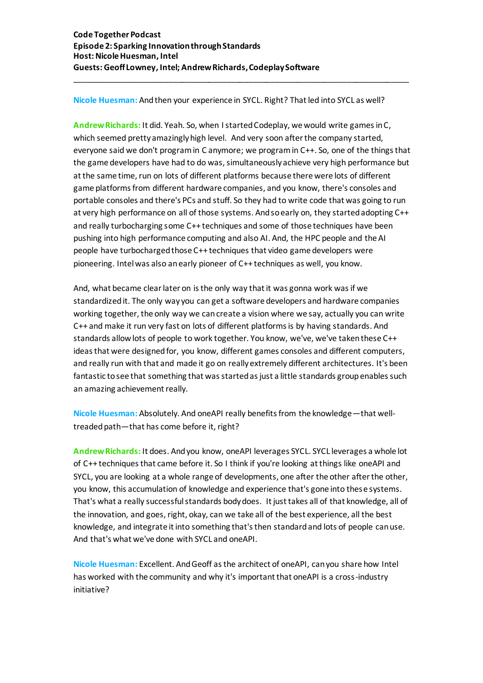## **Nicole Huesman:** And then your experience in SYCL. Right? That led into SYCL as well?

\_\_\_\_\_\_\_\_\_\_\_\_\_\_\_\_\_\_\_\_\_\_\_\_\_\_\_\_\_\_\_\_\_\_\_\_\_\_\_\_\_\_\_\_\_\_\_\_\_\_\_\_\_\_\_\_\_\_\_\_\_\_\_\_\_\_\_\_\_\_\_\_\_\_\_

**Andrew Richards:** It did. Yeah. So, when I started Codeplay, we would write games in C, which seemed pretty amazingly high level. And very soon after the company started, everyone said we don't program in C anymore; we programin C++. So, one of the things that the game developers have had to do was, simultaneously achieve very high performance but at the same time, run on lots of different platforms because there were lots of different game platforms from different hardware companies, and you know, there's consoles and portable consoles and there's PCs and stuff. So they had to write code that was going to run at very high performance on all of those systems. And so early on, they started adopting C++ and really turbocharging some C++ techniques and some of those techniques have been pushing into high performance computing and also AI. And, the HPC people and the AI people have turbocharged those C++ techniques that video game developers were pioneering. Intel was also an early pioneer of C++ techniques as well, you know.

And, what became clear later on is the only way that it was gonna work was if we standardized it. The only way you can get a software developers and hardware companies working together, the only way we can create a vision where we say, actually you can write C++ and make it run very fast on lots of different platforms is by having standards. And standards allow lots of people to work together. You know, we've, we've taken these C++ ideas that were designed for, you know, different games consoles and different computers, and really run with that and made it go on really extremely different architectures. It's been fantastic to see that something that was started as just a little standards group enables such an amazing achievement really.

**Nicole Huesman:** Absolutely. And oneAPI really benefits from the knowledge—that welltreaded path—that has come before it, right?

**Andrew Richards:** It does. And you know, oneAPI leverages SYCL. SYCL leverages a whole lot of C++ techniques that came before it. So I think if you're looking at things like oneAPI and SYCL, you are looking at a whole range of developments, one after the other after the other, you know, this accumulation of knowledge and experience that's gone into these systems. That's what a really successful standards body does. It just takes all of that knowledge, all of the innovation, and goes, right, okay, can we take all of the best experience, all the best knowledge, and integrate it into something that's then standard and lots of people can use. And that's what we've done with SYCL and oneAPI.

**Nicole Huesman:** Excellent. And Geoff as the architect of oneAPI, can you share how Intel has worked with the community and why it's important that oneAPI is a cross-industry initiative?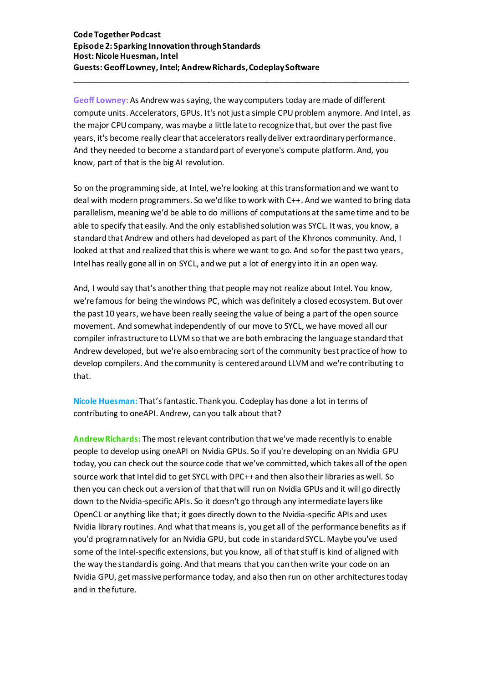**Geoff Lowney:** As Andrew was saying, the way computers today are made of different compute units. Accelerators, GPUs. It's not just a simple CPU problem anymore. And Intel, as the major CPU company, was maybe a little late to recognize that, but over the past five years, it's become really clear that accelerators really deliver extraordinary performance. And they needed to become a standard part of everyone's compute platform. And, you know, part of that is the big AI revolution.

\_\_\_\_\_\_\_\_\_\_\_\_\_\_\_\_\_\_\_\_\_\_\_\_\_\_\_\_\_\_\_\_\_\_\_\_\_\_\_\_\_\_\_\_\_\_\_\_\_\_\_\_\_\_\_\_\_\_\_\_\_\_\_\_\_\_\_\_\_\_\_\_\_\_\_

So on the programming side, at Intel, we're looking at this transformation and we want to deal with modern programmers. So we'd like to work with C++. And we wanted to bring data parallelism, meaning we'd be able to do millions of computations at the same time and to be able to specify that easily. And the only established solution was SYCL. It was, you know, a standard that Andrew and others had developed as part of the Khronos community. And, I looked at that and realized that this is where we want to go. And so for the past two years, Intel has really gone all in on SYCL, and we put a lot of energy into it in an open way.

And, I would say that's another thing that people may not realize about Intel. You know, we're famous for being the windows PC, which was definitely a closed ecosystem. But over the past 10 years, we have been really seeing the value of being a part of the open source movement. And somewhat independently of our move to SYCL, we have moved all our compiler infrastructure to LLVM so that we are both embracing the language standard that Andrew developed, but we're also embracing sort of the community best practice of how to develop compilers. And the community is centered around LLVM and we're contributing to that.

**Nicole Huesman:** That's fantastic. Thank you. Codeplay has done a lot in terms of contributing to oneAPI. Andrew, can you talk about that?

**Andrew Richards:** The most relevant contribution that we've made recently is to enable people to develop using oneAPI on Nvidia GPUs. So if you're developing on an Nvidia GPU today, you can check out the source code that we've committed, which takes all of the open source work that Intel did to get SYCL with DPC++ and then also their libraries as well. So then you can check out a version of that that will run on Nvidia GPUs and it will go directly down to the Nvidia-specific APIs. So it doesn't go through any intermediate layers like OpenCL or anything like that; it goes directly down to the Nvidia-specific APIs and uses Nvidia library routines. And what that means is, you get all of the performance benefits as if you'd program natively for an Nvidia GPU, but code in standard SYCL. Maybe you've used some of the Intel-specific extensions, but you know, all of that stuff is kind of aligned with the way the standard is going. And that means that you can then write your code on an Nvidia GPU, get massive performance today, and also then run on other architectures today and in the future.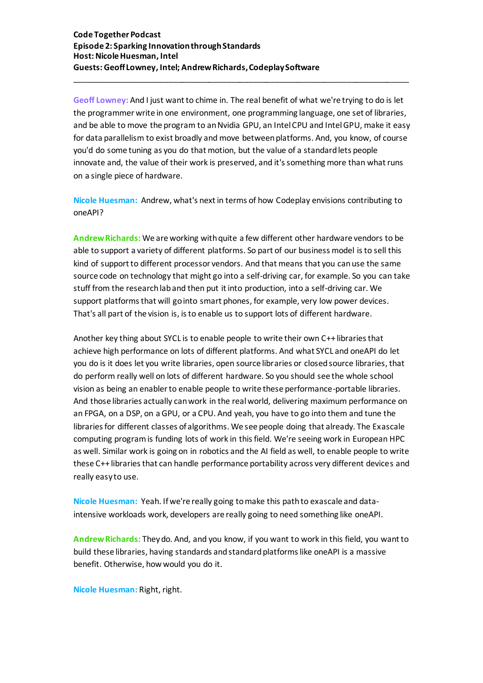**Geoff Lowney:** And I just want to chime in. The real benefit of what we're trying to do is let the programmer write in one environment, one programming language, one set of libraries, and be able to move the program to an Nvidia GPU, an Intel CPU and Intel GPU, make it easy for data parallelism to exist broadly and move between platforms. And, you know, of course you'd do some tuning as you do that motion, but the value of a standard lets people innovate and, the value of their work is preserved, and it's something more than what runs on a single piece of hardware.

\_\_\_\_\_\_\_\_\_\_\_\_\_\_\_\_\_\_\_\_\_\_\_\_\_\_\_\_\_\_\_\_\_\_\_\_\_\_\_\_\_\_\_\_\_\_\_\_\_\_\_\_\_\_\_\_\_\_\_\_\_\_\_\_\_\_\_\_\_\_\_\_\_\_\_

**Nicole Huesman:** Andrew, what's next in terms of how Codeplay envisions contributing to oneAPI?

**Andrew Richards:** We are working with quite a few different other hardware vendors to be able to support a variety of different platforms. So part of our business model is to sell this kind of support to different processor vendors. And that means that you can use the same source code on technology that might go into a self-driving car, for example. So you can take stuff from the research lab and then put it into production, into a self-driving car. We support platforms that will go into smart phones, for example, very low power devices. That's all part of the vision is, is to enable us to support lots of different hardware.

Another key thing about SYCL is to enable people to write their own C++ libraries that achieve high performance on lots of different platforms. And what SYCL and oneAPI do let you do is it does let you write libraries, open source libraries or closed source libraries, that do perform really well on lots of different hardware. So you should see the whole school vision as being an enabler to enable people to write these performance-portable libraries. And those libraries actually can work in the real world, delivering maximum performance on an FPGA, on a DSP, on a GPU, or a CPU. And yeah, you have to go into them and tune the libraries for different classes of algorithms. We see people doing that already. The Exascale computing program is funding lots of work in this field. We're seeing work in European HPC as well. Similar work is going on in robotics and the AI field as well, to enable people to write these C++ libraries that can handle performance portability across very different devices and really easy to use.

**Nicole Huesman:** Yeah. If we're really going to make this path to exascale and dataintensive workloads work, developers are really going to need something like oneAPI.

**Andrew Richards:** They do. And, and you know, if you want to work in this field, you want to build these libraries, having standards and standard platforms like oneAPI is a massive benefit. Otherwise, how would you do it.

**Nicole Huesman:** Right, right.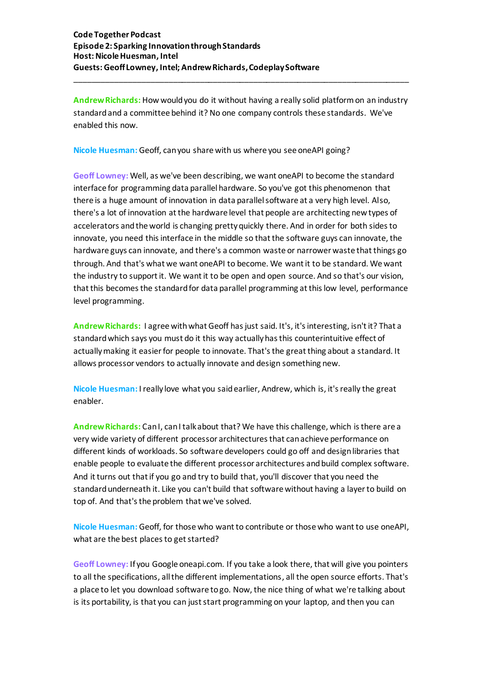**Andrew Richards:** How would you do it without having a really solid platform on an industry standard and a committee behind it? No one company controls these standards. We've enabled this now.

\_\_\_\_\_\_\_\_\_\_\_\_\_\_\_\_\_\_\_\_\_\_\_\_\_\_\_\_\_\_\_\_\_\_\_\_\_\_\_\_\_\_\_\_\_\_\_\_\_\_\_\_\_\_\_\_\_\_\_\_\_\_\_\_\_\_\_\_\_\_\_\_\_\_\_

**Nicole Huesman:** Geoff, can you share with us where you see oneAPI going?

**Geoff Lowney:** Well, as we've been describing, we want oneAPI to become the standard interface for programming data parallel hardware. So you've got this phenomenon that there is a huge amount of innovation in data parallel software at a very high level. Also, there's a lot of innovation at the hardware level that people are architecting new types of accelerators and the world is changing pretty quickly there. And in order for both sides to innovate, you need this interface in the middle so that the software guys can innovate, the hardware guys can innovate, and there's a common waste or narrower waste that things go through. And that's what we want oneAPI to become. We want it to be standard. We want the industry to support it. We want it to be open and open source. And so that's our vision, that this becomes the standard for data parallel programming at this low level, performance level programming.

**Andrew Richards:** I agree with what Geoff has just said. It's, it's interesting, isn't it? That a standard which says you must do it this way actually has this counterintuitive effect of actually making it easier for people to innovate. That's the great thing about a standard. It allows processor vendors to actually innovate and design something new.

**Nicole Huesman:** I really love what you said earlier, Andrew, which is, it's really the great enabler.

**Andrew Richards:** Can I, can I talk about that? We have this challenge, which is there are a very wide variety of different processor architectures that can achieve performance on different kinds of workloads. So software developers could go off and design libraries that enable people to evaluate the different processor architectures and build complex software. And it turns out that if you go and try to build that, you'll discover that you need the standard underneath it. Like you can't build that software without having a layer to build on top of. And that's the problem that we've solved.

**Nicole Huesman:** Geoff, for those who want to contribute or those who want to use oneAPI, what are the best places to get started?

**Geoff Lowney:** If you Google oneapi.com. If you take a look there, that will give you pointers to all the specifications, all the different implementations, all the open source efforts. That's a place to let you download software to go. Now, the nice thing of what we're talking about is its portability, is that you can just start programming on your laptop, and then you can